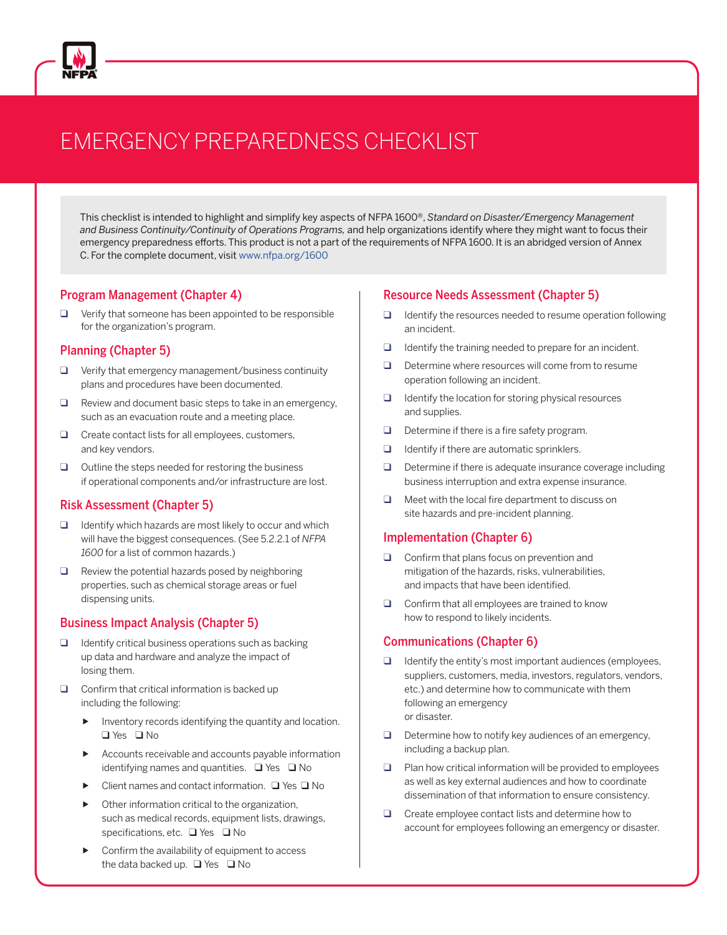

# EMERGENCY PREPAREDNESS CHECKLIST

This checklist is intended to highlight and simplify key aspects of NFPA 1600®, *Standard on Disaster/Emergency Management and Business Continuity/Continuity of Operations Programs,* and help organizations identify where they might want to focus their emergency preparedness efforts. This product is not a part of the requirements of NFPA 1600. It is an abridged version of Annex C. For the complete document, visit [www.nfpa.org/1600](http://www.nfpa.org/1600)

### Program Management (Chapter 4)

❑ Verify that someone has been appointed to be responsible for the organization's program.

### Planning (Chapter 5)

- $\Box$  Verify that emergency management/business continuity plans and procedures have been documented.
- ❑ Review and document basic steps to take in an emergency, such as an evacuation route and a meeting place.
- ❑ Create contact lists for all employees, customers, and key vendors.
- $\Box$  Outline the steps needed for restoring the business if operational components and/or infrastructure are lost.

### Risk Assessment (Chapter 5)

- $\Box$  Identify which hazards are most likely to occur and which will have the biggest consequences. (See 5.2.2.1 of *NFPA 1600* for a list of common hazards.)
- $\Box$  Review the potential hazards posed by neighboring properties, such as chemical storage areas or fuel dispensing units.

### Business Impact Analysis (Chapter 5)

- $\Box$  Identify critical business operations such as backing up data and hardware and analyze the impact of losing them.
- $\Box$  Confirm that critical information is backed up including the following:
	- Inventory records identifying the quantity and location. ❑ Yes ❑ No
	- Accounts receivable and accounts payable information identifying names and quantities. ❑ Yes ❑ No
	- Client names and contact information. ❑ Yes ❑ No
	- Other information critical to the organization, such as medical records, equipment lists, drawings, specifications, etc. ❑ Yes ❑ No
	- Confirm the availability of equipment to access the data backed up. ❑ Yes ❑ No

### Resource Needs Assessment (Chapter 5)

- $\Box$  Identify the resources needed to resume operation following an incident.
- $\Box$  Identify the training needed to prepare for an incident.
- □ Determine where resources will come from to resume operation following an incident.
- ❑ Identify the location for storing physical resources and supplies.
- ❑ Determine if there is a fire safety program.
- $\Box$  Identify if there are automatic sprinklers.
- ❑ Determine if there is adequate insurance coverage including business interruption and extra expense insurance.
- ❑ Meet with the local fire department to discuss on site hazards and pre-incident planning.

### Implementation (Chapter 6)

- ❑ Confirm that plans focus on prevention and mitigation of the hazards, risks, vulnerabilities, and impacts that have been identified.
- $\Box$  Confirm that all employees are trained to know how to respond to likely incidents.

### Communications (Chapter 6)

- $\Box$  Identify the entity's most important audiences (employees, suppliers, customers, media, investors, regulators, vendors, etc.) and determine how to communicate with them following an emergency or disaster.
- $\Box$  Determine how to notify key audiences of an emergency, including a backup plan.
- $\Box$  Plan how critical information will be provided to employees as well as key external audiences and how to coordinate dissemination of that information to ensure consistency.
- ❑ Create employee contact lists and determine how to account for employees following an emergency or disaster.